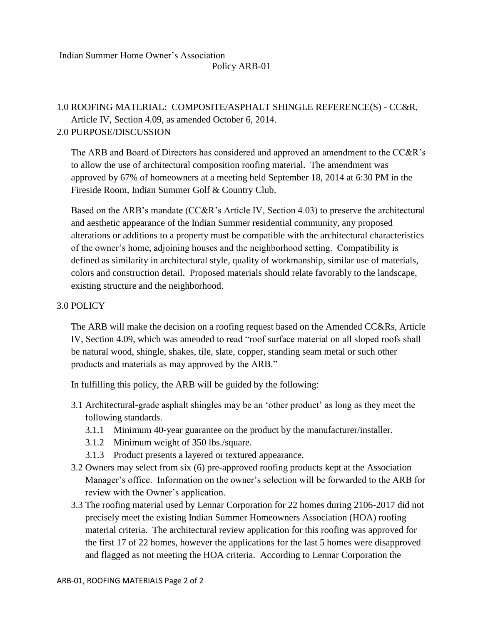# 1.0 ROOFING MATERIAL: COMPOSITE/ASPHALT SHINGLE REFERENCE(S) - CC&R, Article IV, Section 4.09, as amended October 6, 2014. 2.0 PURPOSE/DISCUSSION

The ARB and Board of Directors has considered and approved an amendment to the CC&R's to allow the use of architectural composition roofing material. The amendment was approved by 67% of homeowners at a meeting held September 18, 2014 at 6:30 PM in the Fireside Room, Indian Summer Golf & Country Club.

Based on the ARB's mandate (CC&R's Article IV, Section 4.03) to preserve the architectural and aesthetic appearance of the Indian Summer residential community, any proposed alterations or additions to a property must be compatible with the architectural characteristics of the owner's home, adjoining houses and the neighborhood setting. Compatibility is defined as similarity in architectural style, quality of workmanship, similar use of materials, colors and construction detail. Proposed materials should relate favorably to the landscape, existing structure and the neighborhood.

## 3.0 POLICY

The ARB will make the decision on a roofing request based on the Amended CC&Rs, Article IV, Section 4.09, which was amended to read "roof surface material on all sloped roofs shall be natural wood, shingle, shakes, tile, slate, copper, standing seam metal or such other products and materials as may approved by the ARB."

In fulfilling this policy, the ARB will be guided by the following:

- 3.1 Architectural-grade asphalt shingles may be an 'other product' as long as they meet the following standards.
	- 3.1.1 Minimum 40-year guarantee on the product by the manufacturer/installer.
	- 3.1.2 Minimum weight of 350 lbs./square.
	- 3.1.3 Product presents a layered or textured appearance.
- 3.2 Owners may select from six (6) pre-approved roofing products kept at the Association Manager's office. Information on the owner's selection will be forwarded to the ARB for review with the Owner's application.
- 3.3 The roofing material used by Lennar Corporation for 22 homes during 2106-2017 did not precisely meet the existing Indian Summer Homeowners Association (HOA) roofing material criteria. The architectural review application for this roofing was approved for the first 17 of 22 homes, however the applications for the last 5 homes were disapproved and flagged as not meeting the HOA criteria. According to Lennar Corporation the